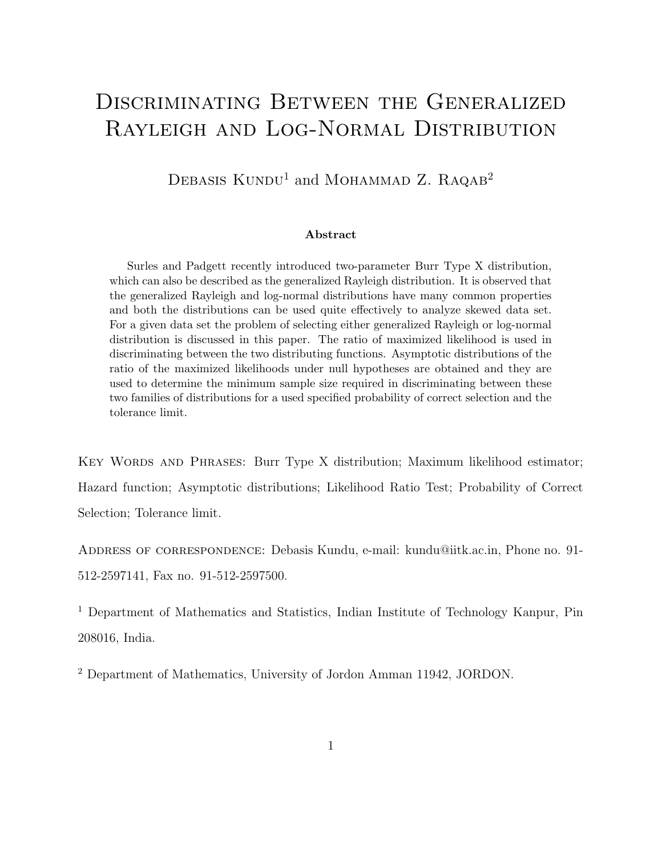# DISCRIMINATING BETWEEN THE GENERALIZED Rayleigh and Log-Normal Distribution

DEBASIS  $KUNDU<sup>1</sup>$  and MOHAMMAD Z. RAQAB<sup>2</sup>

#### Abstract

Surles and Padgett recently introduced two-parameter Burr Type X distribution, which can also be described as the generalized Rayleigh distribution. It is observed that the generalized Rayleigh and log-normal distributions have many common properties and both the distributions can be used quite effectively to analyze skewed data set. For a given data set the problem of selecting either generalized Rayleigh or log-normal distribution is discussed in this paper. The ratio of maximized likelihood is used in discriminating between the two distributing functions. Asymptotic distributions of the ratio of the maximized likelihoods under null hypotheses are obtained and they are used to determine the minimum sample size required in discriminating between these two families of distributions for a used specified probability of correct selection and the tolerance limit.

Key Words and Phrases: Burr Type X distribution; Maximum likelihood estimator; Hazard function; Asymptotic distributions; Likelihood Ratio Test; Probability of Correct Selection; Tolerance limit.

Address of correspondence: Debasis Kundu, e-mail: kundu@iitk.ac.in, Phone no. 91- 512-2597141, Fax no. 91-512-2597500.

<sup>1</sup> Department of Mathematics and Statistics, Indian Institute of Technology Kanpur, Pin 208016, India.

<sup>2</sup> Department of Mathematics, University of Jordon Amman 11942, JORDON.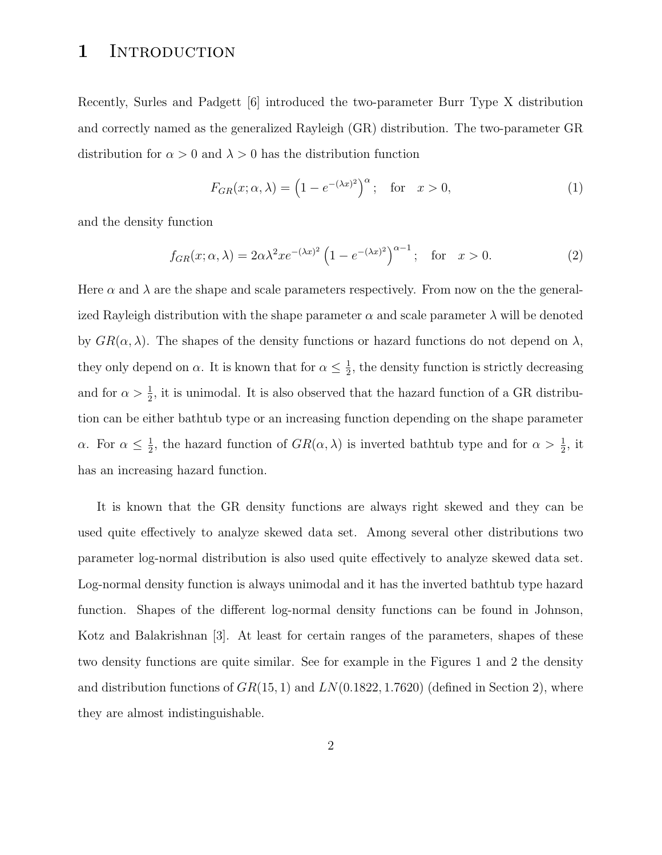## 1 INTRODUCTION

Recently, Surles and Padgett [6] introduced the two-parameter Burr Type X distribution and correctly named as the generalized Rayleigh (GR) distribution. The two-parameter GR distribution for  $\alpha > 0$  and  $\lambda > 0$  has the distribution function

$$
F_{GR}(x; \alpha, \lambda) = \left(1 - e^{-(\lambda x)^2}\right)^{\alpha}; \quad \text{for} \quad x > 0,
$$
 (1)

and the density function

$$
f_{GR}(x; \alpha, \lambda) = 2\alpha\lambda^2 x e^{-(\lambda x)^2} \left(1 - e^{-(\lambda x)^2}\right)^{\alpha - 1}; \quad \text{for} \quad x > 0. \tag{2}
$$

Here  $\alpha$  and  $\lambda$  are the shape and scale parameters respectively. From now on the the generalized Rayleigh distribution with the shape parameter  $\alpha$  and scale parameter  $\lambda$  will be denoted by  $GR(\alpha, \lambda)$ . The shapes of the density functions or hazard functions do not depend on  $\lambda$ , they only depend on  $\alpha$ . It is known that for  $\alpha \leq \frac{1}{2}$  $\frac{1}{2}$ , the density function is strictly decreasing and for  $\alpha > \frac{1}{2}$  $\frac{1}{2}$ , it is unimodal. It is also observed that the hazard function of a GR distribution can be either bathtub type or an increasing function depending on the shape parameter  $\alpha$ . For  $\alpha \leq \frac{1}{2}$  $\frac{1}{2}$ , the hazard function of  $GR(\alpha, \lambda)$  is inverted bathtub type and for  $\alpha > \frac{1}{2}$  $\frac{1}{2}$ , it has an increasing hazard function.

It is known that the GR density functions are always right skewed and they can be used quite effectively to analyze skewed data set. Among several other distributions two parameter log-normal distribution is also used quite effectively to analyze skewed data set. Log-normal density function is always unimodal and it has the inverted bathtub type hazard function. Shapes of the different log-normal density functions can be found in Johnson, Kotz and Balakrishnan [3]. At least for certain ranges of the parameters, shapes of these two density functions are quite similar. See for example in the Figures 1 and 2 the density and distribution functions of  $GR(15, 1)$  and  $LN(0.1822, 1.7620)$  (defined in Section 2), where they are almost indistinguishable.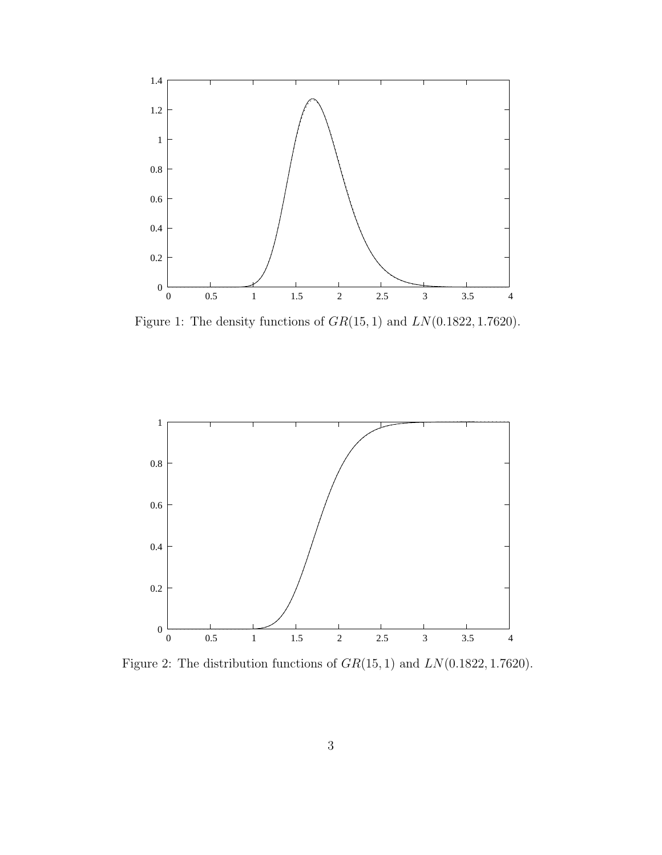

Figure 1: The density functions of  $GR(15, 1)$  and  $LN(0.1822, 1.7620)$ .



Figure 2: The distribution functions of  $GR(15, 1)$  and  $LN(0.1822, 1.7620)$ .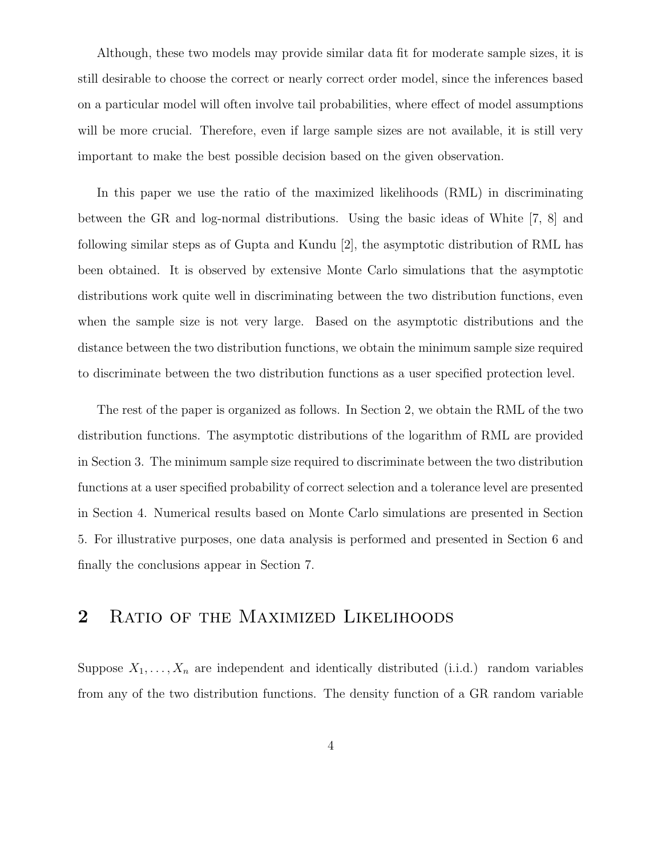Although, these two models may provide similar data fit for moderate sample sizes, it is still desirable to choose the correct or nearly correct order model, since the inferences based on a particular model will often involve tail probabilities, where effect of model assumptions will be more crucial. Therefore, even if large sample sizes are not available, it is still very important to make the best possible decision based on the given observation.

In this paper we use the ratio of the maximized likelihoods (RML) in discriminating between the GR and log-normal distributions. Using the basic ideas of White [7, 8] and following similar steps as of Gupta and Kundu [2], the asymptotic distribution of RML has been obtained. It is observed by extensive Monte Carlo simulations that the asymptotic distributions work quite well in discriminating between the two distribution functions, even when the sample size is not very large. Based on the asymptotic distributions and the distance between the two distribution functions, we obtain the minimum sample size required to discriminate between the two distribution functions as a user specified protection level.

The rest of the paper is organized as follows. In Section 2, we obtain the RML of the two distribution functions. The asymptotic distributions of the logarithm of RML are provided in Section 3. The minimum sample size required to discriminate between the two distribution functions at a user specified probability of correct selection and a tolerance level are presented in Section 4. Numerical results based on Monte Carlo simulations are presented in Section 5. For illustrative purposes, one data analysis is performed and presented in Section 6 and finally the conclusions appear in Section 7.

### 2 RATIO OF THE MAXIMIZED LIKELIHOODS

Suppose  $X_1, \ldots, X_n$  are independent and identically distributed (i.i.d.) random variables from any of the two distribution functions. The density function of a GR random variable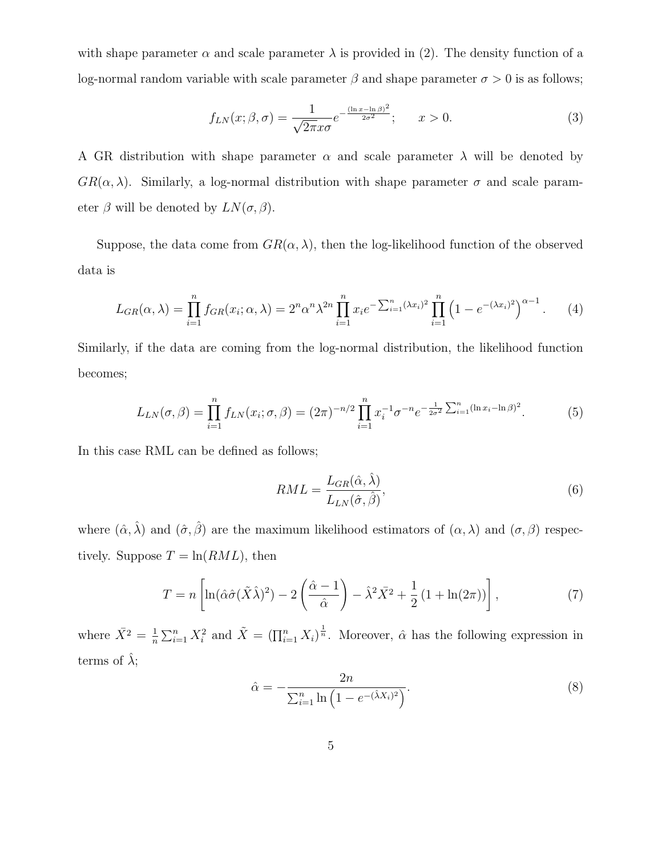with shape parameter  $\alpha$  and scale parameter  $\lambda$  is provided in (2). The density function of a log-normal random variable with scale parameter  $\beta$  and shape parameter  $\sigma > 0$  is as follows;

$$
f_{LN}(x;\beta,\sigma) = \frac{1}{\sqrt{2\pi}x\sigma}e^{-\frac{(\ln x - \ln \beta)^2}{2\sigma^2}}; \qquad x > 0.
$$
 (3)

A GR distribution with shape parameter  $\alpha$  and scale parameter  $\lambda$  will be denoted by  $GR(\alpha, \lambda)$ . Similarly, a log-normal distribution with shape parameter  $\sigma$  and scale parameter  $\beta$  will be denoted by  $LN(\sigma, \beta)$ .

Suppose, the data come from  $GR(\alpha, \lambda)$ , then the log-likelihood function of the observed data is

$$
L_{GR}(\alpha, \lambda) = \prod_{i=1}^{n} f_{GR}(x_i; \alpha, \lambda) = 2^n \alpha^n \lambda^{2n} \prod_{i=1}^{n} x_i e^{-\sum_{i=1}^{n} (\lambda x_i)^2} \prod_{i=1}^{n} \left(1 - e^{-(\lambda x_i)^2}\right)^{\alpha - 1}.
$$
 (4)

Similarly, if the data are coming from the log-normal distribution, the likelihood function becomes;

$$
L_{LN}(\sigma,\beta) = \prod_{i=1}^{n} f_{LN}(x_i;\sigma,\beta) = (2\pi)^{-n/2} \prod_{i=1}^{n} x_i^{-1} \sigma^{-n} e^{-\frac{1}{2\sigma^2} \sum_{i=1}^{n} (\ln x_i - \ln \beta)^2}.
$$
 (5)

In this case RML can be defined as follows;

$$
RML = \frac{L_{GR}(\hat{\alpha}, \hat{\lambda})}{L_{LN}(\hat{\sigma}, \hat{\beta})},\tag{6}
$$

where  $(\hat{\alpha}, \hat{\lambda})$  and  $(\hat{\sigma}, \hat{\beta})$  are the maximum likelihood estimators of  $(\alpha, \lambda)$  and  $(\sigma, \beta)$  respectively. Suppose  $T = \ln(RML)$ , then

$$
T = n \left[ \ln(\hat{\alpha}\hat{\sigma}(\tilde{X}\hat{\lambda})^2) - 2\left(\frac{\hat{\alpha} - 1}{\hat{\alpha}}\right) - \hat{\lambda}^2 \bar{X}^2 + \frac{1}{2} \left(1 + \ln(2\pi)\right) \right],\tag{7}
$$

where  $\bar{X}^2 = \frac{1}{n}$  $\frac{1}{n}\sum_{i=1}^n X_i^2$  and  $\tilde{X} = (\prod_{i=1}^n X_i)^{\frac{1}{n}}$ . Moreover,  $\hat{\alpha}$  has the following expression in terms of  $\hat{\lambda}$ ;

$$
\hat{\alpha} = -\frac{2n}{\sum_{i=1}^{n} \ln(1 - e^{-(\hat{\lambda}X_i)^2})}.
$$
\n(8)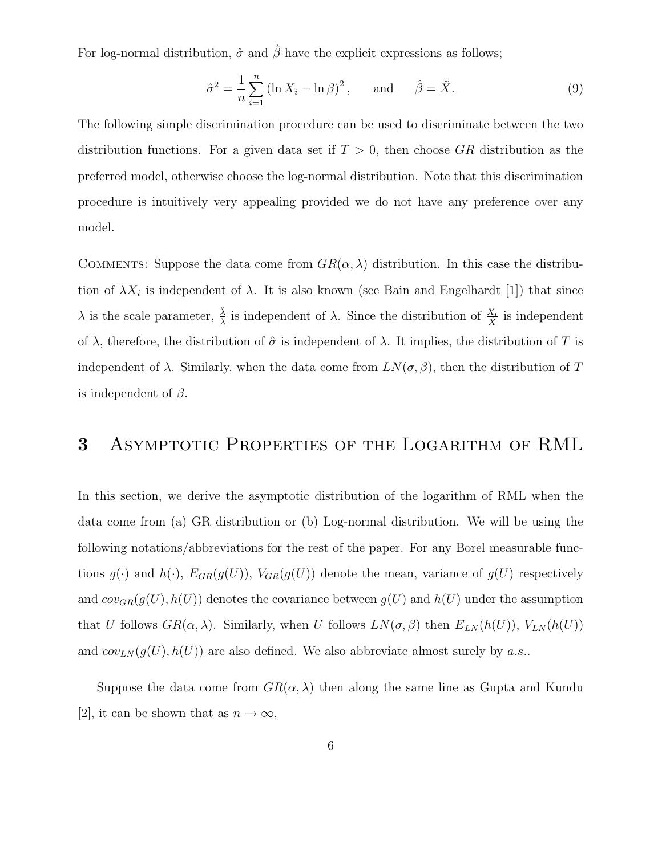For log-normal distribution,  $\hat{\sigma}$  and  $\hat{\beta}$  have the explicit expressions as follows;

$$
\hat{\sigma}^2 = \frac{1}{n} \sum_{i=1}^n \left( \ln X_i - \ln \beta \right)^2, \quad \text{and} \quad \hat{\beta} = \tilde{X}.
$$
 (9)

The following simple discrimination procedure can be used to discriminate between the two distribution functions. For a given data set if  $T > 0$ , then choose GR distribution as the preferred model, otherwise choose the log-normal distribution. Note that this discrimination procedure is intuitively very appealing provided we do not have any preference over any model.

COMMENTS: Suppose the data come from  $GR(\alpha, \lambda)$  distribution. In this case the distribution of  $\lambda X_i$  is independent of  $\lambda$ . It is also known (see Bain and Engelhardt [1]) that since λ is the scale parameter,  $\frac{\hat{\lambda}}{\lambda}$  is independent of λ. Since the distribution of  $\frac{X_i}{\hat{X}}$  is independent of  $\lambda$ , therefore, the distribution of  $\hat{\sigma}$  is independent of  $\lambda$ . It implies, the distribution of T is independent of  $\lambda$ . Similarly, when the data come from  $LN(\sigma, \beta)$ , then the distribution of T is independent of  $\beta$ .

# 3 Asymptotic Properties of the Logarithm of RML

In this section, we derive the asymptotic distribution of the logarithm of RML when the data come from (a) GR distribution or (b) Log-normal distribution. We will be using the following notations/abbreviations for the rest of the paper. For any Borel measurable functions  $g(\cdot)$  and  $h(\cdot)$ ,  $E_{GR}(g(U))$ ,  $V_{GR}(g(U))$  denote the mean, variance of  $g(U)$  respectively and  $cov_{GR}(g(U), h(U))$  denotes the covariance between  $g(U)$  and  $h(U)$  under the assumption that U follows  $GR(\alpha, \lambda)$ . Similarly, when U follows  $LN(\sigma, \beta)$  then  $E_{LN}(h(U))$ ,  $V_{LN}(h(U))$ and  $cov_{LN}(g(U), h(U))$  are also defined. We also abbreviate almost surely by a.s..

Suppose the data come from  $GR(\alpha, \lambda)$  then along the same line as Gupta and Kundu [2], it can be shown that as  $n \to \infty$ ,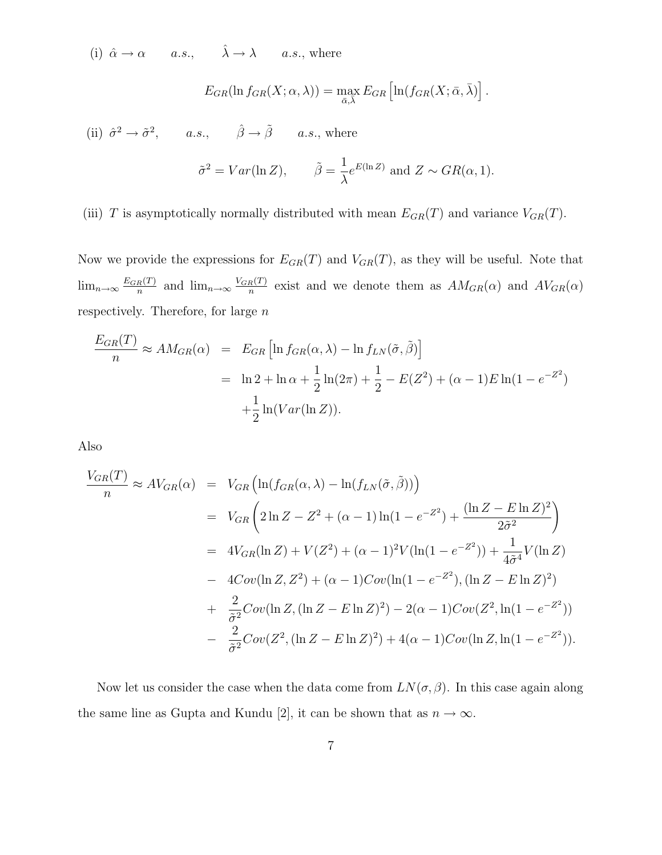(i)  $\hat{\alpha} \to \alpha$  a.s.,  $\hat{\lambda} \to \lambda$  a.s., where

$$
E_{GR}(\ln f_{GR}(X; \alpha, \lambda)) = \max_{\bar{\alpha}, \bar{\lambda}} E_{GR} \left[ \ln(f_{GR}(X; \bar{\alpha}, \bar{\lambda})) \right].
$$

(ii)  $\hat{\sigma}^2 \to \tilde{\sigma}^2$ , a.s.,  $\hat{\beta} \to \tilde{\beta}$  a.s., where

$$
\tilde{\sigma}^2 = Var(\ln Z), \qquad \tilde{\beta} = \frac{1}{\lambda} e^{E(\ln Z)} \text{ and } Z \sim GR(\alpha, 1).
$$

(iii) T is asymptotically normally distributed with mean  $E_{GR}(T)$  and variance  $V_{GR}(T)$ .

Now we provide the expressions for  $E_{GR}(T)$  and  $V_{GR}(T)$ , as they will be useful. Note that  $\lim_{n\to\infty}\frac{E_{GR}(T)}{n}$  $\frac{n(T)}{n}$  and  $\lim_{n\to\infty} \frac{V_{GR}(T)}{n}$  $\frac{R(I)}{n}$  exist and we denote them as  $AM_{GR}(\alpha)$  and  $AV_{GR}(\alpha)$ respectively. Therefore, for large  $n$ 

$$
\frac{E_{GR}(T)}{n} \approx AM_{GR}(\alpha) = E_{GR} \left[ \ln f_{GR}(\alpha, \lambda) - \ln f_{LN}(\tilde{\sigma}, \tilde{\beta}) \right]
$$

$$
= \ln 2 + \ln \alpha + \frac{1}{2} \ln(2\pi) + \frac{1}{2} - E(Z^2) + (\alpha - 1)E \ln(1 - e^{-Z^2})
$$

$$
+ \frac{1}{2} \ln(Var(\ln Z)).
$$

Also

$$
\frac{V_{GR}(T)}{n} \approx AV_{GR}(\alpha) = V_{GR} \left( \ln(f_{GR}(\alpha, \lambda) - \ln(f_{LN}(\tilde{\sigma}, \tilde{\beta})) \right)
$$
  
\n
$$
= V_{GR} \left( 2 \ln Z - Z^2 + (\alpha - 1) \ln(1 - e^{-Z^2}) + \frac{(\ln Z - E \ln Z)^2}{2\tilde{\sigma}^2} \right)
$$
  
\n
$$
= 4V_{GR}(\ln Z) + V(Z^2) + (\alpha - 1)^2 V(\ln(1 - e^{-Z^2})) + \frac{1}{4\tilde{\sigma}^4} V(\ln Z)
$$
  
\n
$$
- 4Cov(\ln Z, Z^2) + (\alpha - 1)Cov(\ln(1 - e^{-Z^2}), (\ln Z - E \ln Z)^2)
$$
  
\n
$$
+ \frac{2}{\tilde{\sigma}^2}Cov(\ln Z, (\ln Z - E \ln Z)^2) - 2(\alpha - 1)Cov(Z^2, \ln(1 - e^{-Z^2}))
$$
  
\n
$$
- \frac{2}{\tilde{\sigma}^2}Cov(Z^2, (\ln Z - E \ln Z)^2) + 4(\alpha - 1)Cov(\ln Z, \ln(1 - e^{-Z^2})).
$$

Now let us consider the case when the data come from  $LN(\sigma, \beta)$ . In this case again along the same line as Gupta and Kundu [2], it can be shown that as  $n \to \infty$ .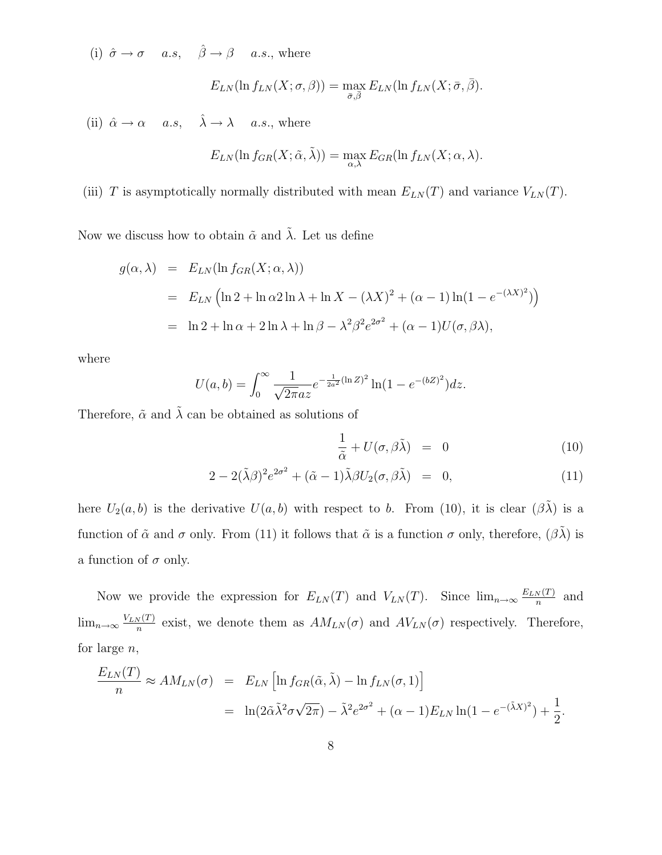(i)  $\hat{\sigma} \to \sigma$  a.s,  $\hat{\beta} \to \beta$  a.s., where

$$
E_{LN}(\ln f_{LN}(X;\sigma,\beta)) = \max_{\bar{\sigma},\bar{\beta}} E_{LN}(\ln f_{LN}(X;\bar{\sigma},\bar{\beta}).
$$

(ii)  $\hat{\alpha} \rightarrow \alpha$  a.s,  $\hat{\lambda} \rightarrow \lambda$  a.s., where

$$
E_{LN}(\ln f_{GR}(X; \tilde{\alpha}, \tilde{\lambda})) = \max_{\alpha, \lambda} E_{GR}(\ln f_{LN}(X; \alpha, \lambda)).
$$

(iii) T is asymptotically normally distributed with mean  $E_{LN}(T)$  and variance  $V_{LN}(T)$ .

Now we discuss how to obtain  $\tilde{\alpha}$  and  $\tilde{\lambda}$ . Let us define

$$
g(\alpha, \lambda) = E_{LN}(\ln f_{GR}(X; \alpha, \lambda))
$$
  
=  $E_{LN}(\ln 2 + \ln \alpha 2 \ln \lambda + \ln X - (\lambda X)^2 + (\alpha - 1) \ln(1 - e^{-(\lambda X)^2}))$   
=  $\ln 2 + \ln \alpha + 2 \ln \lambda + \ln \beta - \lambda^2 \beta^2 e^{2\sigma^2} + (\alpha - 1)U(\sigma, \beta \lambda),$ 

where

$$
U(a,b) = \int_0^\infty \frac{1}{\sqrt{2\pi}az} e^{-\frac{1}{2a^2}(\ln Z)^2} \ln(1 - e^{-(bZ)^2}) dz.
$$

Therefore,  $\tilde{\alpha}$  and  $\tilde{\lambda}$  can be obtained as solutions of

$$
\frac{1}{\tilde{\alpha}} + U(\sigma, \beta \tilde{\lambda}) = 0 \tag{10}
$$

$$
2 - 2(\tilde{\lambda}\beta)^2 e^{2\sigma^2} + (\tilde{\alpha} - 1)\tilde{\lambda}\beta U_2(\sigma, \beta \tilde{\lambda}) = 0, \qquad (11)
$$

here  $U_2(a, b)$  is the derivative  $U(a, b)$  with respect to b. From (10), it is clear  $(\beta \tilde{\lambda})$  is a function of  $\tilde{\alpha}$  and  $\sigma$  only. From (11) it follows that  $\tilde{\alpha}$  is a function  $\sigma$  only, therefore,  $(\beta \tilde{\lambda})$  is a function of  $\sigma$  only.

Now we provide the expression for  $E_{LN}(T)$  and  $V_{LN}(T)$ . Since  $\lim_{n\to\infty}\frac{E_{LN}(T)}{n}$  $\frac{N(I)}{n}$  and  $\lim_{n\to\infty}\frac{V_{LN}(T)}{n}$  $\frac{N(I)}{n}$  exist, we denote them as  $AM_{LN}(\sigma)$  and  $AV_{LN}(\sigma)$  respectively. Therefore, for large  $n$ ,

$$
\frac{E_{LN}(T)}{n} \approx AM_{LN}(\sigma) = E_{LN} \left[ \ln f_{GR}(\tilde{\alpha}, \tilde{\lambda}) - \ln f_{LN}(\sigma, 1) \right]
$$

$$
= \ln(2\tilde{\alpha}\tilde{\lambda}^2 \sigma \sqrt{2\pi}) - \tilde{\lambda}^2 e^{2\sigma^2} + (\alpha - 1)E_{LN} \ln(1 - e^{-(\tilde{\lambda}X)^2}) + \frac{1}{2}.
$$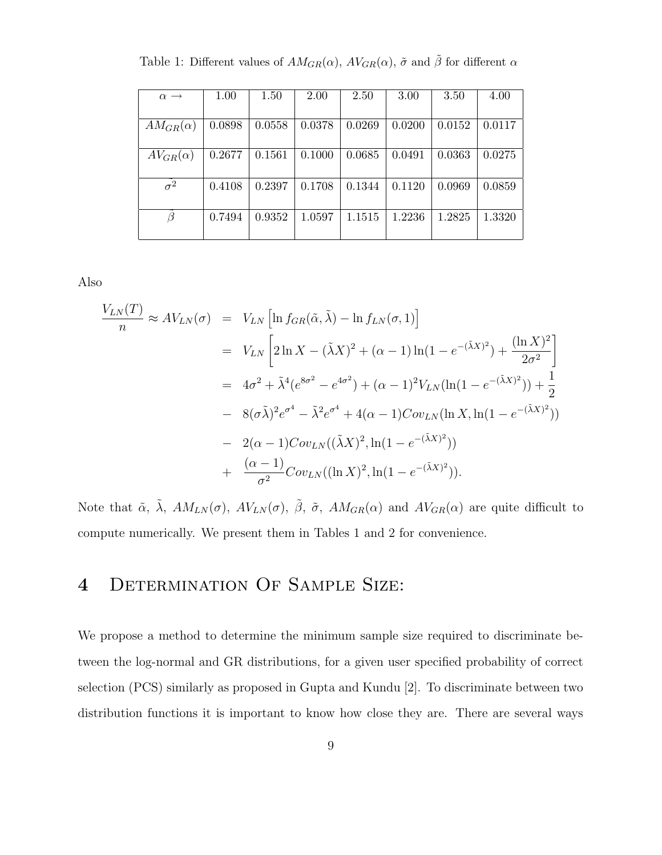| $\alpha \rightarrow$ | 1.00   | 1.50   | 2.00   | 2.50   | 3.00   | 3.50   | 4.00   |
|----------------------|--------|--------|--------|--------|--------|--------|--------|
|                      |        |        |        |        |        |        |        |
| $AM_{GR}(\alpha)$    | 0.0898 | 0.0558 | 0.0378 | 0.0269 | 0.0200 | 0.0152 | 0.0117 |
|                      |        |        |        |        |        |        |        |
| $AV_{GR}(\alpha)$    | 0.2677 | 0.1561 | 0.1000 | 0.0685 | 0.0491 | 0.0363 | 0.0275 |
|                      |        |        |        |        |        |        |        |
| $\sigma^2$           | 0.4108 | 0.2397 | 0.1708 | 0.1344 | 0.1120 | 0.0969 | 0.0859 |
|                      |        |        |        |        |        |        |        |
| ß                    | 0.7494 | 0.9352 | 1.0597 | 1.1515 | 1.2236 | 1.2825 | 1.3320 |
|                      |        |        |        |        |        |        |        |

Table 1: Different values of  $AM_{GR}(\alpha)$ ,  $AV_{GR}(\alpha)$ ,  $\tilde{\sigma}$  and  $\tilde{\beta}$  for different  $\alpha$ 

Also

$$
\frac{V_{LN}(T)}{n} \approx AV_{LN}(\sigma) = V_{LN} \left[ \ln f_{GR}(\tilde{\alpha}, \tilde{\lambda}) - \ln f_{LN}(\sigma, 1) \right]
$$
  
\n
$$
= V_{LN} \left[ 2 \ln X - (\tilde{\lambda}X)^2 + (\alpha - 1) \ln(1 - e^{-(\tilde{\lambda}X)^2}) + \frac{(\ln X)^2}{2\sigma^2} \right]
$$
  
\n
$$
= 4\sigma^2 + \tilde{\lambda}^4 (e^{8\sigma^2} - e^{4\sigma^2}) + (\alpha - 1)^2 V_{LN} (\ln(1 - e^{-(\tilde{\lambda}X)^2})) + \frac{1}{2}
$$
  
\n
$$
- 8(\sigma \tilde{\lambda})^2 e^{\sigma^4} - \tilde{\lambda}^2 e^{\sigma^4} + 4(\alpha - 1)Cov_{LN}(\ln X, \ln(1 - e^{-(\tilde{\lambda}X)^2}))
$$
  
\n
$$
- 2(\alpha - 1)Cov_{LN}((\tilde{\lambda}X)^2, \ln(1 - e^{-(\tilde{\lambda}X)^2}))
$$
  
\n
$$
+ \frac{(\alpha - 1)}{\sigma^2}Cov_{LN}((\ln X)^2, \ln(1 - e^{-(\tilde{\lambda}X)^2})).
$$

Note that  $\tilde{\alpha}$ ,  $\tilde{\lambda}$ ,  $AM_{LN}(\sigma)$ ,  $AV_{LN}(\sigma)$ ,  $\tilde{\beta}$ ,  $\tilde{\sigma}$ ,  $AM_{GR}(\alpha)$  and  $AV_{GR}(\alpha)$  are quite difficult to compute numerically. We present them in Tables 1 and 2 for convenience.

# 4 Determination Of Sample Size:

We propose a method to determine the minimum sample size required to discriminate between the log-normal and GR distributions, for a given user specified probability of correct selection (PCS) similarly as proposed in Gupta and Kundu [2]. To discriminate between two distribution functions it is important to know how close they are. There are several ways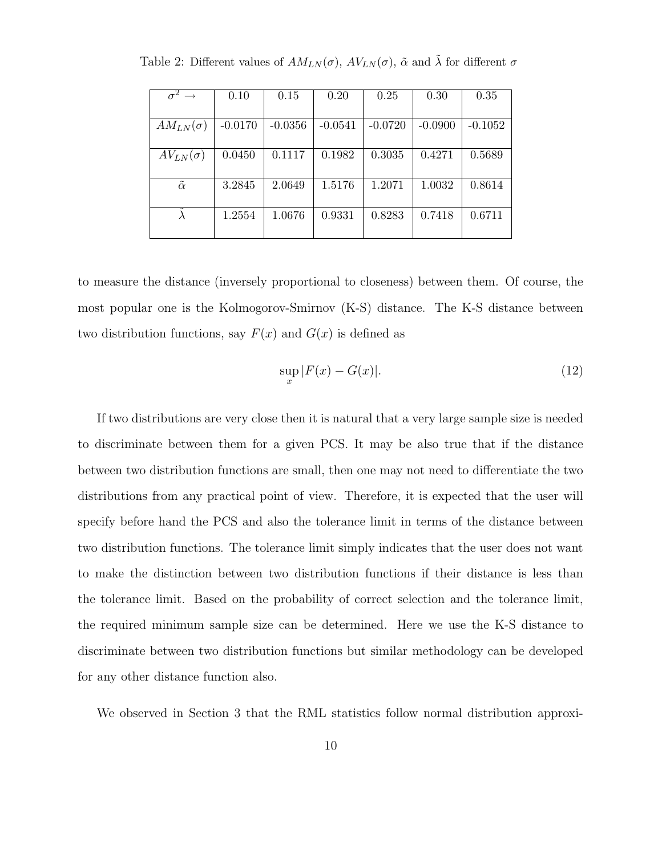| $\sigma^2 \rightarrow$ | 0.10      | 0.15      | 0.20      | 0.25      | 0.30      | 0.35      |
|------------------------|-----------|-----------|-----------|-----------|-----------|-----------|
|                        |           |           |           |           |           |           |
| $AM_{LN}(\sigma)$      | $-0.0170$ | $-0.0356$ | $-0.0541$ | $-0.0720$ | $-0.0900$ | $-0.1052$ |
|                        |           |           |           |           |           |           |
| $AV_{LN}(\sigma)$      | 0.0450    | 0.1117    | 0.1982    | 0.3035    | 0.4271    | 0.5689    |
|                        |           |           |           |           |           |           |
| $\tilde{\alpha}$       | 3.2845    | 2.0649    | 1.5176    | 1.2071    | 1.0032    | 0.8614    |
|                        |           |           |           |           |           |           |
|                        | 1.2554    | 1.0676    | 0.9331    | 0.8283    | 0.7418    | 0.6711    |
|                        |           |           |           |           |           |           |

Table 2: Different values of  $AM_{LN}(\sigma)$ ,  $AV_{LN}(\sigma)$ ,  $\tilde{\alpha}$  and  $\tilde{\lambda}$  for different  $\sigma$ 

to measure the distance (inversely proportional to closeness) between them. Of course, the most popular one is the Kolmogorov-Smirnov (K-S) distance. The K-S distance between two distribution functions, say  $F(x)$  and  $G(x)$  is defined as

$$
\sup_x |F(x) - G(x)|.\tag{12}
$$

If two distributions are very close then it is natural that a very large sample size is needed to discriminate between them for a given PCS. It may be also true that if the distance between two distribution functions are small, then one may not need to differentiate the two distributions from any practical point of view. Therefore, it is expected that the user will specify before hand the PCS and also the tolerance limit in terms of the distance between two distribution functions. The tolerance limit simply indicates that the user does not want to make the distinction between two distribution functions if their distance is less than the tolerance limit. Based on the probability of correct selection and the tolerance limit, the required minimum sample size can be determined. Here we use the K-S distance to discriminate between two distribution functions but similar methodology can be developed for any other distance function also.

We observed in Section 3 that the RML statistics follow normal distribution approxi-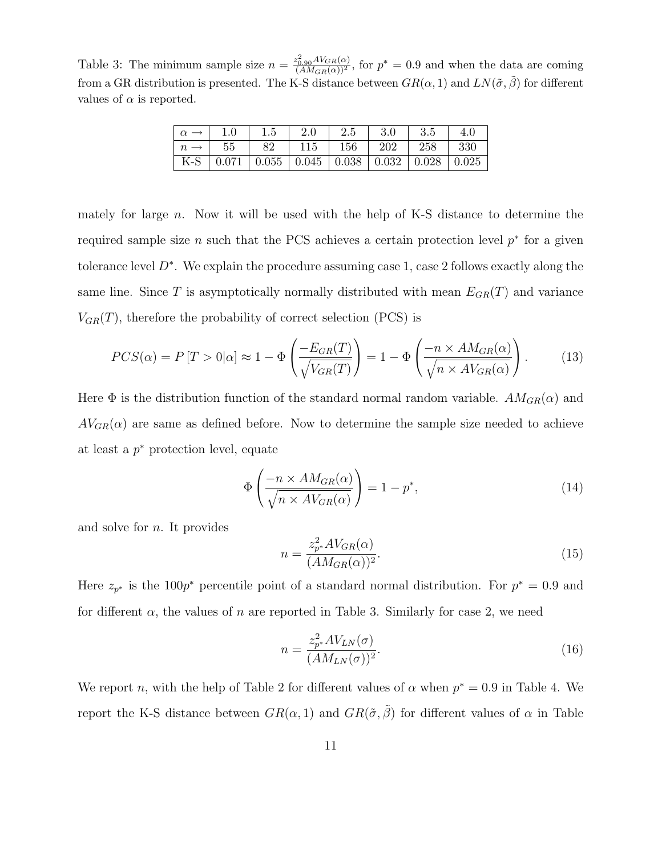Table 3: The minimum sample size  $n = \frac{z_{0.90}^2 AV_{GR}(\alpha)}{(AM_{GR}(\alpha))^2}$ , for  $p^* = 0.9$  and when the data are coming from a GR distribution is presented. The K-S distance between  $GR(\alpha, 1)$  and  $LN(\tilde{\sigma}, \tilde{\beta})$  for different values of  $\alpha$  is reported.

|     |       | $1.5\,$ | 2.0   | $2.5\,$ | $3.0\,$ | マ に<br>ບ.ປ |       |
|-----|-------|---------|-------|---------|---------|------------|-------|
|     | 55    | 89      | 115   | 156     | 202     | 258        | 330   |
| K-S | 0.071 | 0.055   | 0.045 | 0.038   | 0.032   | 0.028      | 0.025 |

mately for large  $n$ . Now it will be used with the help of K-S distance to determine the required sample size n such that the PCS achieves a certain protection level  $p^*$  for a given tolerance level  $D^*$ . We explain the procedure assuming case 1, case 2 follows exactly along the same line. Since T is asymptotically normally distributed with mean  $E_{GR}(T)$  and variance  $V_{GR}(T)$ , therefore the probability of correct selection (PCS) is

$$
PCS(\alpha) = P[T > 0|\alpha] \approx 1 - \Phi\left(\frac{-E_{GR}(T)}{\sqrt{V_{GR}(T)}}\right) = 1 - \Phi\left(\frac{-n \times AM_{GR}(\alpha)}{\sqrt{n \times AV_{GR}(\alpha)}}\right). \tag{13}
$$

Here  $\Phi$  is the distribution function of the standard normal random variable.  $AM_{GR}(\alpha)$  and  $AV_{GR}(\alpha)$  are same as defined before. Now to determine the sample size needed to achieve at least a p <sup>∗</sup> protection level, equate

$$
\Phi\left(\frac{-n \times AM_{GR}(\alpha)}{\sqrt{n \times AV_{GR}(\alpha)}}\right) = 1 - p^*,\tag{14}
$$

and solve for n. It provides

$$
n = \frac{z_{p*}^2 A V_{GR}(\alpha)}{(AM_{GR}(\alpha))^2}.
$$
\n(15)

Here  $z_{p^*}$  is the 100 $p^*$  percentile point of a standard normal distribution. For  $p^* = 0.9$  and for different  $\alpha$ , the values of n are reported in Table 3. Similarly for case 2, we need

$$
n = \frac{z_{p*}^2 A V_{LN}(\sigma)}{(AM_{LN}(\sigma))^2}.
$$
\n(16)

We report n, with the help of Table 2 for different values of  $\alpha$  when  $p^* = 0.9$  in Table 4. We report the K-S distance between  $GR(\alpha, 1)$  and  $GR(\tilde{\sigma}, \tilde{\beta})$  for different values of  $\alpha$  in Table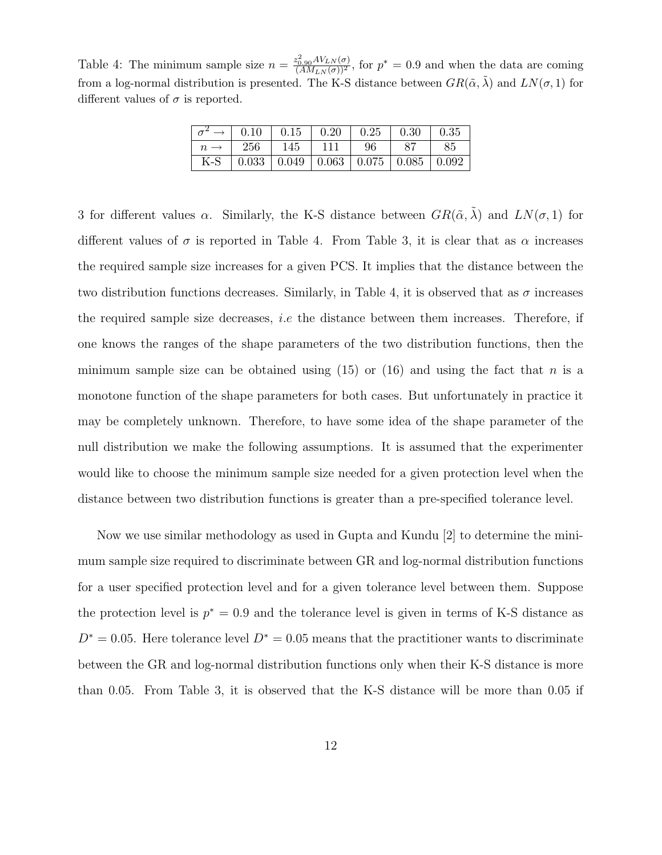Table 4: The minimum sample size  $n = \frac{z_{0.90}^2 AV_{LN}(\sigma)}{(AM_{LN}(\sigma))^2}$ , for  $p^* = 0.9$  and when the data are coming from a log-normal distribution is presented. The K-S distance between  $GR(\tilde{\alpha}, \lambda)$  and  $LN(\sigma, 1)$  for different values of  $\sigma$  is reported.

|     |     |     | $\vert 0.10 \vert 0.15 \vert 0.20 \vert 0.25 \vert 0.30$                  |     | $\parallel$ 0.35 |
|-----|-----|-----|---------------------------------------------------------------------------|-----|------------------|
|     | 256 | 145 | 111                                                                       | -96 | 85               |
| K-S |     |     | $\vert 0.033 \vert 0.049 \vert 0.063 \vert 0.075 \vert 0.085 \vert 0.092$ |     |                  |

3 for different values  $\alpha$ . Similarly, the K-S distance between  $GR(\tilde{\alpha}, \tilde{\lambda})$  and  $LN(\sigma, 1)$  for different values of  $\sigma$  is reported in Table 4. From Table 3, it is clear that as  $\alpha$  increases the required sample size increases for a given PCS. It implies that the distance between the two distribution functions decreases. Similarly, in Table 4, it is observed that as  $\sigma$  increases the required sample size decreases, *i.e* the distance between them increases. Therefore, if one knows the ranges of the shape parameters of the two distribution functions, then the minimum sample size can be obtained using  $(15)$  or  $(16)$  and using the fact that n is a monotone function of the shape parameters for both cases. But unfortunately in practice it may be completely unknown. Therefore, to have some idea of the shape parameter of the null distribution we make the following assumptions. It is assumed that the experimenter would like to choose the minimum sample size needed for a given protection level when the distance between two distribution functions is greater than a pre-specified tolerance level.

Now we use similar methodology as used in Gupta and Kundu [2] to determine the minimum sample size required to discriminate between GR and log-normal distribution functions for a user specified protection level and for a given tolerance level between them. Suppose the protection level is  $p^* = 0.9$  and the tolerance level is given in terms of K-S distance as  $D^* = 0.05$ . Here tolerance level  $D^* = 0.05$  means that the practitioner wants to discriminate between the GR and log-normal distribution functions only when their K-S distance is more than 0.05. From Table 3, it is observed that the K-S distance will be more than 0.05 if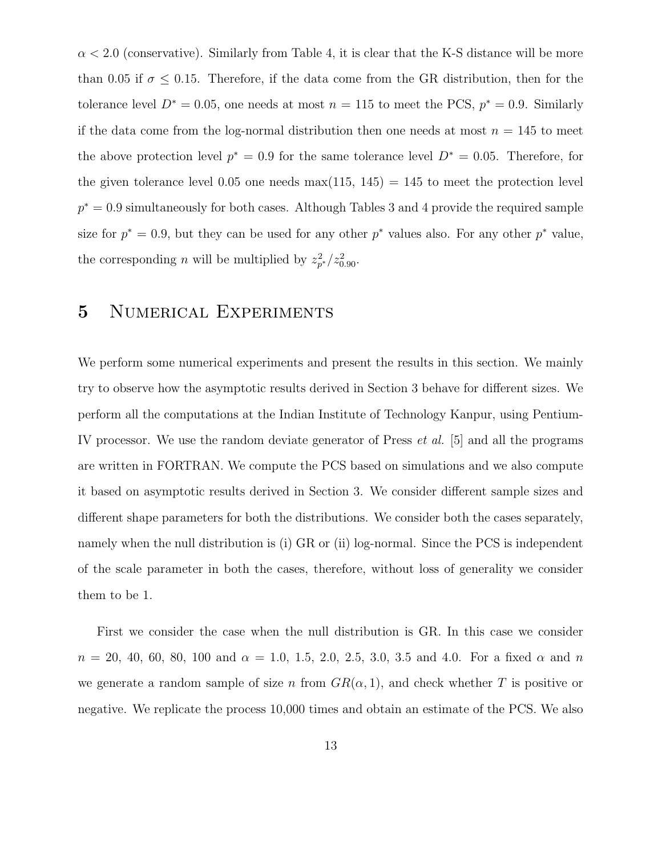$\alpha$  < 2.0 (conservative). Similarly from Table 4, it is clear that the K-S distance will be more than 0.05 if  $\sigma \leq 0.15$ . Therefore, if the data come from the GR distribution, then for the tolerance level  $D^* = 0.05$ , one needs at most  $n = 115$  to meet the PCS,  $p^* = 0.9$ . Similarly if the data come from the log-normal distribution then one needs at most  $n = 145$  to meet the above protection level  $p^* = 0.9$  for the same tolerance level  $D^* = 0.05$ . Therefore, for the given tolerance level 0.05 one needs  $max(115, 145) = 145$  to meet the protection level  $p^* = 0.9$  simultaneously for both cases. Although Tables 3 and 4 provide the required sample size for  $p^* = 0.9$ , but they can be used for any other  $p^*$  values also. For any other  $p^*$  value, the corresponding *n* will be multiplied by  $z_{p^*}^2/z_{0.90}^2$ .

# 5 Numerical Experiments

We perform some numerical experiments and present the results in this section. We mainly try to observe how the asymptotic results derived in Section 3 behave for different sizes. We perform all the computations at the Indian Institute of Technology Kanpur, using Pentium-IV processor. We use the random deviate generator of Press et al. [5] and all the programs are written in FORTRAN. We compute the PCS based on simulations and we also compute it based on asymptotic results derived in Section 3. We consider different sample sizes and different shape parameters for both the distributions. We consider both the cases separately, namely when the null distribution is (i) GR or (ii) log-normal. Since the PCS is independent of the scale parameter in both the cases, therefore, without loss of generality we consider them to be 1.

First we consider the case when the null distribution is GR. In this case we consider  $n = 20, 40, 60, 80, 100$  and  $\alpha = 1.0, 1.5, 2.0, 2.5, 3.0, 3.5$  and 4.0. For a fixed  $\alpha$  and  $n$ we generate a random sample of size n from  $GR(\alpha, 1)$ , and check whether T is positive or negative. We replicate the process 10,000 times and obtain an estimate of the PCS. We also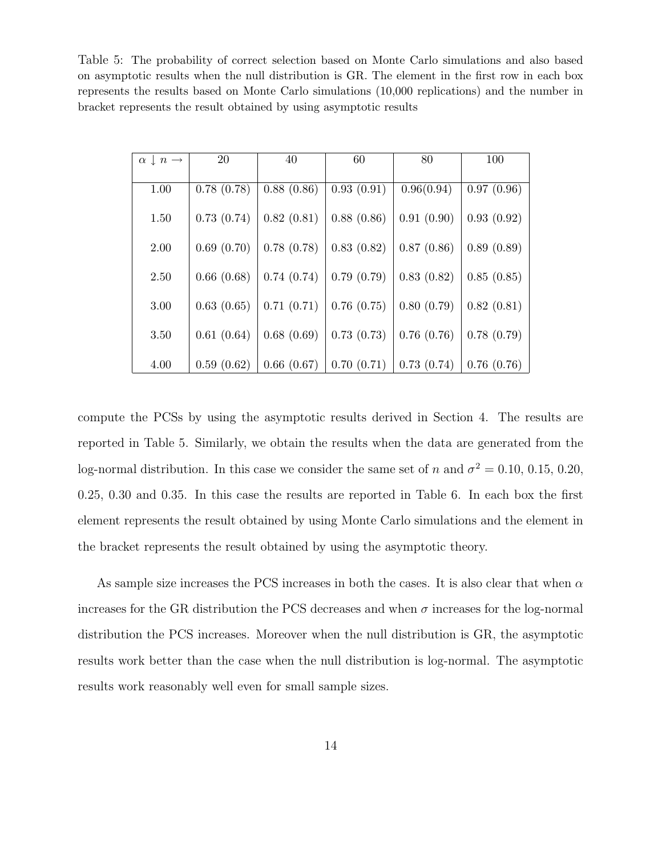Table 5: The probability of correct selection based on Monte Carlo simulations and also based on asymptotic results when the null distribution is GR. The element in the first row in each box represents the results based on Monte Carlo simulations (10,000 replications) and the number in bracket represents the result obtained by using asymptotic results

| $\alpha \downarrow n \rightarrow$ | 20         | 40         | 60         | 80         | 100        |
|-----------------------------------|------------|------------|------------|------------|------------|
| 1.00                              | 0.78(0.78) | 0.88(0.86) | 0.93(0.91) | 0.96(0.94) | 0.97(0.96) |
| 1.50                              | 0.73(0.74) | 0.82(0.81) | 0.88(0.86) | 0.91(0.90) | 0.93(0.92) |
| 2.00                              | 0.69(0.70) | 0.78(0.78) | 0.83(0.82) | 0.87(0.86) | 0.89(0.89) |
| 2.50                              | 0.66(0.68) | 0.74(0.74) | 0.79(0.79) | 0.83(0.82) | 0.85(0.85) |
| 3.00                              | 0.63(0.65) | 0.71(0.71) | 0.76(0.75) | 0.80(0.79) | 0.82(0.81) |
| 3.50                              | 0.61(0.64) | 0.68(0.69) | 0.73(0.73) | 0.76(0.76) | 0.78(0.79) |
| 4.00                              | 0.59(0.62) | 0.66(0.67) | 0.70(0.71) | 0.73(0.74) | 0.76(0.76) |

compute the PCSs by using the asymptotic results derived in Section 4. The results are reported in Table 5. Similarly, we obtain the results when the data are generated from the log-normal distribution. In this case we consider the same set of n and  $\sigma^2 = 0.10, 0.15, 0.20,$ 0.25, 0.30 and 0.35. In this case the results are reported in Table 6. In each box the first element represents the result obtained by using Monte Carlo simulations and the element in the bracket represents the result obtained by using the asymptotic theory.

As sample size increases the PCS increases in both the cases. It is also clear that when  $\alpha$ increases for the GR distribution the PCS decreases and when  $\sigma$  increases for the log-normal distribution the PCS increases. Moreover when the null distribution is GR, the asymptotic results work better than the case when the null distribution is log-normal. The asymptotic results work reasonably well even for small sample sizes.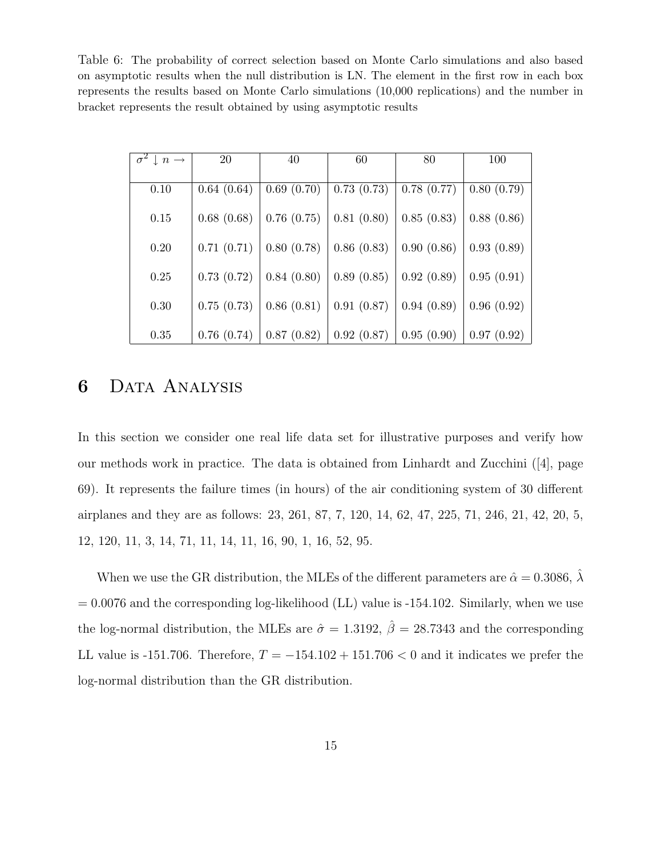Table 6: The probability of correct selection based on Monte Carlo simulations and also based on asymptotic results when the null distribution is LN. The element in the first row in each box represents the results based on Monte Carlo simulations (10,000 replications) and the number in bracket represents the result obtained by using asymptotic results

| $\downarrow$ n $\rightarrow$ | <b>20</b>  | 40         | 60         | 80         | 100        |
|------------------------------|------------|------------|------------|------------|------------|
|                              |            |            |            |            |            |
| 0.10                         | 0.64(0.64) | 0.69(0.70) | 0.73(0.73) | 0.78(0.77) | 0.80(0.79) |
| 0.15                         | 0.68(0.68) | 0.76(0.75) | 0.81(0.80) | 0.85(0.83) | 0.88(0.86) |
| 0.20                         | 0.71(0.71) | 0.80(0.78) | 0.86(0.83) | 0.90(0.86) | 0.93(0.89) |
| 0.25                         | 0.73(0.72) | 0.84(0.80) | 0.89(0.85) | 0.92(0.89) | 0.95(0.91) |
| 0.30                         | 0.75(0.73) | 0.86(0.81) | 0.91(0.87) | 0.94(0.89) | 0.96(0.92) |
| 0.35                         | 0.76(0.74) | 0.87(0.82) | 0.92(0.87) | 0.95(0.90) | 0.97(0.92) |

#### 6 Data Analysis

In this section we consider one real life data set for illustrative purposes and verify how our methods work in practice. The data is obtained from Linhardt and Zucchini ([4], page 69). It represents the failure times (in hours) of the air conditioning system of 30 different airplanes and they are as follows: 23, 261, 87, 7, 120, 14, 62, 47, 225, 71, 246, 21, 42, 20, 5, 12, 120, 11, 3, 14, 71, 11, 14, 11, 16, 90, 1, 16, 52, 95.

When we use the GR distribution, the MLEs of the different parameters are  $\hat{\alpha} = 0.3086$ ,  $\hat{\lambda}$  $= 0.0076$  and the corresponding log-likelihood (LL) value is  $-154.102$ . Similarly, when we use the log-normal distribution, the MLEs are  $\hat{\sigma} = 1.3192$ ,  $\hat{\beta} = 28.7343$  and the corresponding LL value is -151.706. Therefore,  $T = -154.102 + 151.706 < 0$  and it indicates we prefer the log-normal distribution than the GR distribution.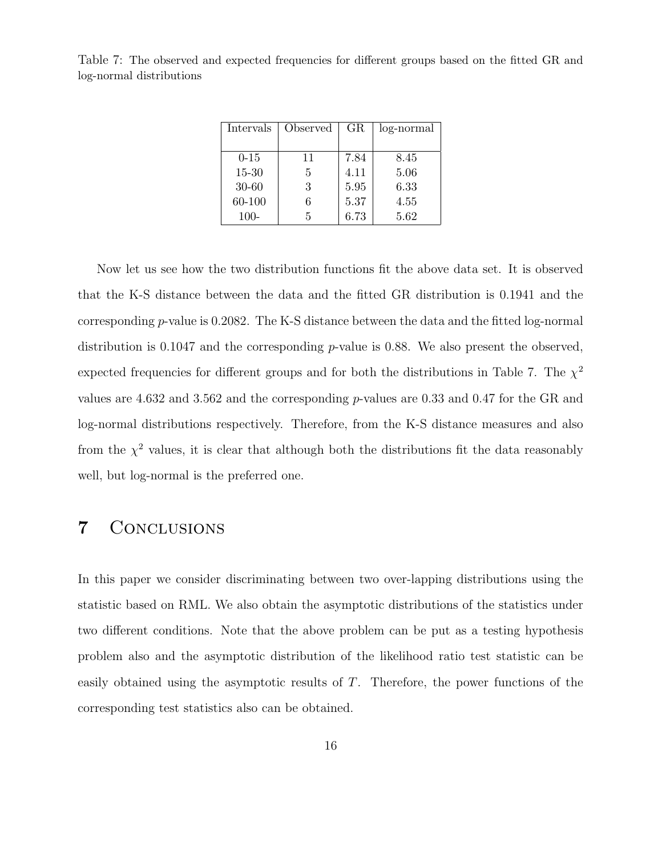| Intervals | Observed | $_{\rm GR}$ | log-normal |
|-----------|----------|-------------|------------|
|           |          |             |            |
| $0 - 15$  | 11       | 7.84        | 8.45       |
| $15 - 30$ | 5        | 4.11        | 5.06       |
| 30-60     | 3        | 5.95        | 6.33       |
| 60-100    | 6        | 5.37        | 4.55       |
| 100-      | 5        | 6.73        | 5.62       |

Table 7: The observed and expected frequencies for different groups based on the fitted GR and log-normal distributions

Now let us see how the two distribution functions fit the above data set. It is observed that the K-S distance between the data and the fitted GR distribution is 0.1941 and the corresponding p-value is 0.2082. The K-S distance between the data and the fitted log-normal distribution is 0.1047 and the corresponding  $p$ -value is 0.88. We also present the observed, expected frequencies for different groups and for both the distributions in Table 7. The  $\chi^2$ values are 4.632 and 3.562 and the corresponding p-values are 0.33 and 0.47 for the GR and log-normal distributions respectively. Therefore, from the K-S distance measures and also from the  $\chi^2$  values, it is clear that although both the distributions fit the data reasonably well, but log-normal is the preferred one.

#### 7 Conclusions

In this paper we consider discriminating between two over-lapping distributions using the statistic based on RML. We also obtain the asymptotic distributions of the statistics under two different conditions. Note that the above problem can be put as a testing hypothesis problem also and the asymptotic distribution of the likelihood ratio test statistic can be easily obtained using the asymptotic results of T. Therefore, the power functions of the corresponding test statistics also can be obtained.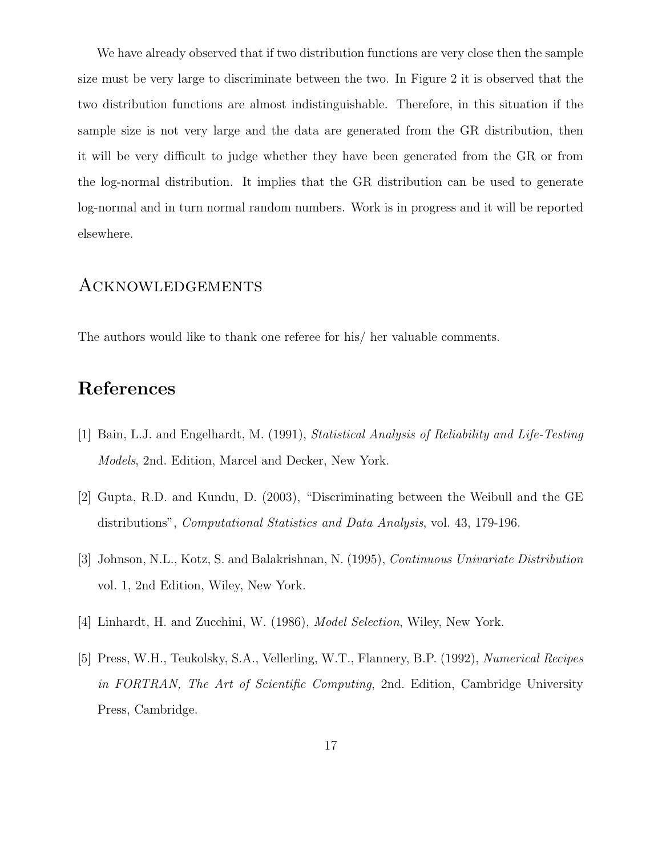We have already observed that if two distribution functions are very close then the sample size must be very large to discriminate between the two. In Figure 2 it is observed that the two distribution functions are almost indistinguishable. Therefore, in this situation if the sample size is not very large and the data are generated from the GR distribution, then it will be very difficult to judge whether they have been generated from the GR or from the log-normal distribution. It implies that the GR distribution can be used to generate log-normal and in turn normal random numbers. Work is in progress and it will be reported elsewhere.

#### **ACKNOWLEDGEMENTS**

The authors would like to thank one referee for his/ her valuable comments.

# References

- [1] Bain, L.J. and Engelhardt, M. (1991), Statistical Analysis of Reliability and Life-Testing Models, 2nd. Edition, Marcel and Decker, New York.
- [2] Gupta, R.D. and Kundu, D. (2003), "Discriminating between the Weibull and the GE distributions", Computational Statistics and Data Analysis, vol. 43, 179-196.
- [3] Johnson, N.L., Kotz, S. and Balakrishnan, N. (1995), Continuous Univariate Distribution vol. 1, 2nd Edition, Wiley, New York.
- [4] Linhardt, H. and Zucchini, W. (1986), Model Selection, Wiley, New York.
- [5] Press, W.H., Teukolsky, S.A., Vellerling, W.T., Flannery, B.P. (1992), Numerical Recipes in FORTRAN, The Art of Scientific Computing, 2nd. Edition, Cambridge University Press, Cambridge.